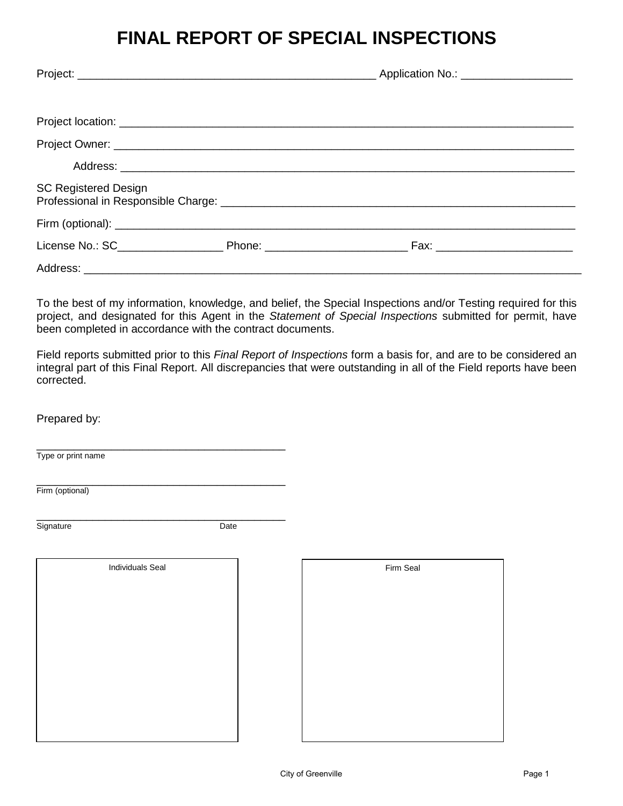# **FINAL REPORT OF SPECIAL INSPECTIONS**

| <b>SC Registered Design</b> |  |  |
|-----------------------------|--|--|
|                             |  |  |
|                             |  |  |
|                             |  |  |

To the best of my information, knowledge, and belief, the Special Inspections and/or Testing required for this project, and designated for this Agent in the *Statement of Special Inspections* submitted for permit, have been completed in accordance with the contract documents.

Field reports submitted prior to this *Final Report of Inspections* form a basis for, and are to be considered an integral part of this Final Report. All discrepancies that were outstanding in all of the Field reports have been corrected.

#### Prepared by:

\_\_\_\_\_\_\_\_\_\_\_\_\_\_\_\_\_\_\_\_\_\_\_\_\_\_\_\_\_\_\_\_\_\_\_\_\_\_\_\_ Type or print name

\_\_\_\_\_\_\_\_\_\_\_\_\_\_\_\_\_\_\_\_\_\_\_\_\_\_\_\_\_\_\_\_\_\_\_\_\_\_\_\_ Firm (optional)

\_\_\_\_\_\_\_\_\_\_\_\_\_\_\_\_\_\_\_\_\_\_\_\_\_\_\_\_\_\_\_\_\_\_\_\_\_\_\_\_ Signature Date

| <b>Individuals Seal</b> | Firm Seal |
|-------------------------|-----------|
|                         |           |
|                         |           |
|                         |           |
|                         |           |
|                         |           |
|                         |           |
|                         |           |
|                         |           |
|                         |           |
|                         |           |

| Firm Seal |  |
|-----------|--|
|           |  |
|           |  |
|           |  |
|           |  |
|           |  |
|           |  |
|           |  |
|           |  |
|           |  |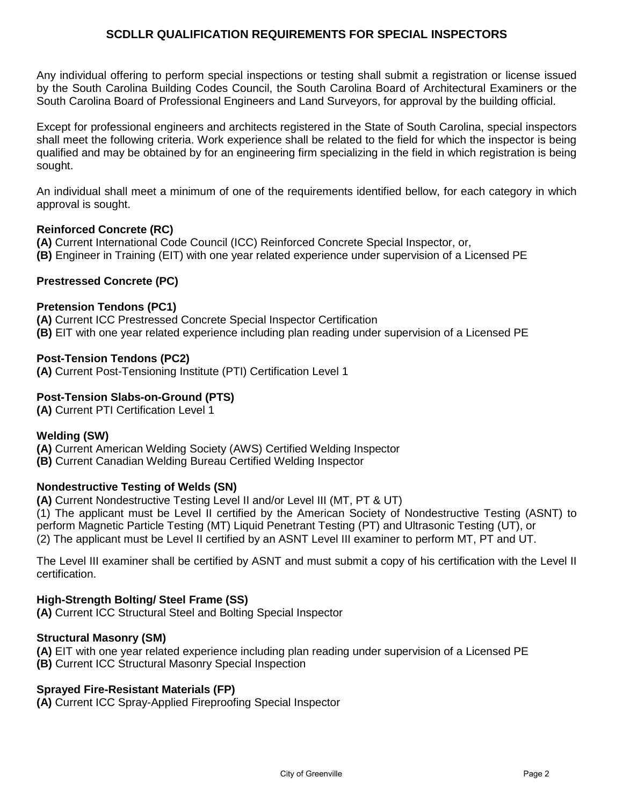# **SCDLLR QUALIFICATION REQUIREMENTS FOR SPECIAL INSPECTORS**

Any individual offering to perform special inspections or testing shall submit a registration or license issued by the South Carolina Building Codes Council, the South Carolina Board of Architectural Examiners or the South Carolina Board of Professional Engineers and Land Surveyors, for approval by the building official.

Except for professional engineers and architects registered in the State of South Carolina, special inspectors shall meet the following criteria. Work experience shall be related to the field for which the inspector is being qualified and may be obtained by for an engineering firm specializing in the field in which registration is being sought.

An individual shall meet a minimum of one of the requirements identified bellow, for each category in which approval is sought.

# **Reinforced Concrete (RC)**

**(A)** Current International Code Council (ICC) Reinforced Concrete Special Inspector, or, **(B)** Engineer in Training (EIT) with one year related experience under supervision of a Licensed PE

# **Prestressed Concrete (PC)**

### **Pretension Tendons (PC1)**

**(A)** Current ICC Prestressed Concrete Special Inspector Certification **(B)** EIT with one year related experience including plan reading under supervision of a Licensed PE

### **Post-Tension Tendons (PC2)**

**(A)** Current Post-Tensioning Institute (PTI) Certification Level 1

# **Post-Tension Slabs-on-Ground (PTS)**

**(A)** Current PTI Certification Level 1

### **Welding (SW)**

**(A)** Current American Welding Society (AWS) Certified Welding Inspector

**(B)** Current Canadian Welding Bureau Certified Welding Inspector

### **Nondestructive Testing of Welds (SN)**

**(A)** Current Nondestructive Testing Level II and/or Level III (MT, PT & UT)

(1) The applicant must be Level II certified by the American Society of Nondestructive Testing (ASNT) to perform Magnetic Particle Testing (MT) Liquid Penetrant Testing (PT) and Ultrasonic Testing (UT), or (2) The applicant must be Level II certified by an ASNT Level III examiner to perform MT, PT and UT.

The Level III examiner shall be certified by ASNT and must submit a copy of his certification with the Level II certification.

### **High-Strength Bolting/ Steel Frame (SS)**

**(A)** Current ICC Structural Steel and Bolting Special Inspector

### **Structural Masonry (SM)**

**(A)** EIT with one year related experience including plan reading under supervision of a Licensed PE

**(B)** Current ICC Structural Masonry Special Inspection

### **Sprayed Fire-Resistant Materials (FP)**

**(A)** Current ICC Spray-Applied Fireproofing Special Inspector